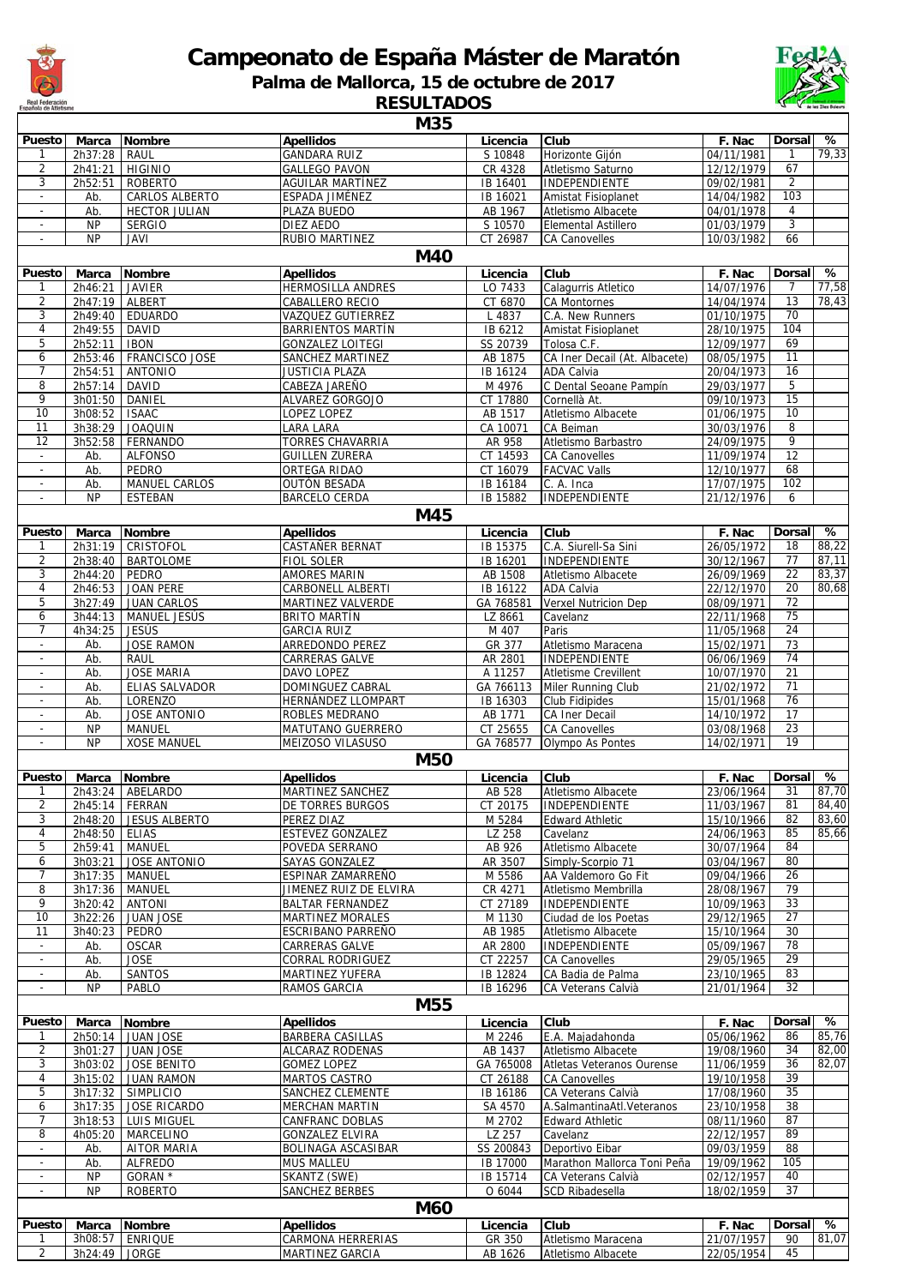

## **Campeonato de España Máster de Maratón**

**Palma de Mallorca, 15 de octubre de 2017**

**RESULTADOS**

|                          |                    |                                    | M35                                          |                      |                                     |                          |                                    |       |
|--------------------------|--------------------|------------------------------------|----------------------------------------------|----------------------|-------------------------------------|--------------------------|------------------------------------|-------|
| Puesto                   | <b>Marca</b>       | <b>Nombre</b>                      | <b>Apellidos</b>                             | Licencia             | Club                                | F. Nac                   | Dorsal                             | %     |
| 1                        | 2h37:28            | RAUL                               | <b>GANDARA RUIZ</b>                          | S 10848              | Horizonte Gijón                     | 04/11/1981               |                                    | 79,33 |
| $\overline{2}$           | 2h41:21            | <b>HIGINIO</b>                     | <b>GALLEGO PAVON</b>                         | CR 4328              | Atletismo Saturno                   | 12/12/1979               | 67                                 |       |
| 3                        | 2h52:51            | <b>ROBERTO</b>                     | AGUILAR MARTÍNEZ                             | IB 16401             | INDEPENDIENTE                       | 09/02/1981               | 2                                  |       |
| $\overline{\phantom{a}}$ | Ab.                | CARLOS ALBERTO                     | ESPADA JIMÉNEZ                               | IB 16021             | Amistat Fisioplanet                 | 14/04/1982               | 103                                |       |
| $\overline{\phantom{a}}$ | Ab.                | <b>HECTOR JULIAN</b>               | PLAZA BUEDO                                  | AB 1967              | Atletismo Albacete                  | 04/01/1978               | $\overline{4}$                     |       |
|                          | <b>NP</b>          | <b>SERGIO</b>                      | DIEZ AEDO                                    | S 10570              | Elemental Astillero                 | 01/03/1979               | 3                                  |       |
| $\overline{\phantom{a}}$ | <b>NP</b>          | <b>JAVI</b>                        | RUBIO MARTINEZ<br><b>M40</b>                 | CT 26987             | <b>CA Canovelles</b>                | 10/03/1982               | 66                                 |       |
|                          |                    |                                    |                                              |                      |                                     |                          | <b>Dorsal</b>                      | %     |
| Puesto<br>1              | Marca              | <b>Nombre</b><br>JAVIER            | <b>Apellidos</b><br><b>HERMOSILLA ANDRES</b> | Licencia<br>LO 7433  | Club<br>Calagurris Atletico         | F. Nac<br>14/07/1976     | 7                                  | 77,58 |
| 2                        | 2h46:21<br>2h47:19 | ALBERT                             | CABALLERO RECIO                              | CT 6870              | <b>CA Montornes</b>                 | 14/04/1974               | 13                                 | 78,43 |
| 3                        | 2h49:40            | <b>EDUARDO</b>                     | <b>VAZQUEZ GUTIERREZ</b>                     | L 4837               | C.A. New Runners                    | 01/10/1975               | 70                                 |       |
| 4                        | 2h49:55            | <b>DAVID</b>                       | <b>BARRIENTOS MARTÍN</b>                     | IB 6212              | Amistat Fisioplanet                 | 28/10/1975               | 104                                |       |
| 5                        | 2h52:11            | <b>IBON</b>                        | <b>GONZALEZ LOITEGI</b>                      | SS 20739             | Tolosa C.F.                         | 12/09/1977               | 69                                 |       |
| 6                        | 2h53:46            | FRANCISCO JOSE                     | SANCHEZ MARTINEZ                             | AB 1875              | CA Iner Decail (At. Albacete)       | 08/05/1975               | 11                                 |       |
| $\overline{7}$           | 2h54:51            | <b>ANTONIO</b>                     | <b>JUSTICIA PLAZA</b>                        | IB 16124             | <b>ADA Calvia</b>                   | 20/04/1973               | 16                                 |       |
| 8                        | 2h57:14            | <b>DAVID</b>                       | CABEZA JAREÑO                                | M 4976               | C Dental Seoane Pampín              | 29/03/1977               | 5                                  |       |
| 9                        | 3h01:50            | DANIEL                             | ALVAREZ GORGOJO                              | CT 17880             | Cornellà At.                        | 09/10/1973               | 15                                 |       |
| 10                       | 3h08:52            | <b>ISAAC</b>                       | LOPEZ LOPEZ                                  | AB 1517              | Atletismo Albacete                  | 01/06/1975               | 10                                 |       |
| 11                       | 3h38:29            | <b>JOAQUIN</b>                     | LARA LARA                                    | CA 10071             | CA Beiman                           | 30/03/1976               | 8                                  |       |
| $\overline{12}$          | 3h52:58            | FERNANDO                           | <b>TORRES CHAVARRIA</b>                      | AR 958               | Atletismo Barbastro                 | 24/09/1975               | $\overline{9}$                     |       |
| $\overline{\phantom{a}}$ | Ab.                | <b>ALFONSO</b>                     | <b>GUILLEN ZURERA</b>                        | CT 14593             | <b>CA Canovelles</b>                | 11/09/1974               | $\overline{12}$                    |       |
| $\sim$                   | Ab.                | PEDRO                              | ORTEGA RIDAO                                 | CT 16079             | <b>FACVAC Valls</b>                 | 12/10/1977               | 68                                 |       |
| $\overline{\phantom{a}}$ | Ab.                | MANUEL CARLOS                      | <b>OUTÓN BESADA</b>                          | IB 16184             | C. A. Inca                          | 17/07/1975               | 102                                |       |
| $\overline{\phantom{a}}$ | <b>NP</b>          | <b>ESTEBAN</b>                     | <b>BARCELO CERDA</b>                         | IB 15882             | INDEPENDIENTE                       | 21/12/1976               | 6                                  |       |
|                          |                    |                                    | M45                                          |                      |                                     |                          |                                    |       |
| Puesto                   | <b>Marca</b>       | <b>Nombre</b>                      | <b>Apellidos</b>                             | Licencia             | Club                                | F. Nac                   | <b>Dorsal</b>                      | %     |
| 1                        | 2h31:19            | CRISTOFOL                          | CASTAÑER BERNAT                              | IB 15375             | C.A. Siurell-Sa Sini                | 26/05/1972               | 18                                 | 88,22 |
| $\overline{2}$           | 2h38:40            | <b>BARTOLOME</b>                   | <b>FIOL SOLER</b>                            | IB 16201             | INDEPENDIENTE                       | 30/12/1967               | 77                                 | 87,11 |
| 3                        | 2h44:20            | PEDRO                              | AMORES MARIN                                 | AB 1508              | Atletismo Albacete                  | 26/09/1969               | 22                                 | 83,37 |
| $\overline{4}$<br>5      | 2h46:53            | <b>JOAN PERE</b>                   | <b>CARBONELL ALBERTI</b>                     | IB 16122             | <b>ADA Calvia</b>                   | 22/12/1970               | $\overline{20}$<br>$\overline{72}$ | 80,68 |
| 6                        | 3h27:49<br>3h44:13 | <b>JUAN CARLOS</b><br>MANUEL JESÚS | MARTINEZ VALVERDE<br><b>BRITO MARTÍN</b>     | GA 768581<br>LZ 8661 | Verxel Nutricion Dep<br>Cavelanz    | 08/09/1971<br>22/11/1968 | 75                                 |       |
| 7                        | 4h34:25            | JESÚS                              | <b>GARCIA RUIZ</b>                           | M 407                | Paris                               | 11/05/1968               | 24                                 |       |
| $\sim$                   | Ab.                | <b>JOSE RAMON</b>                  | ARREDONDO PEREZ                              | GR 377               | Atletismo Maracena                  | 15/02/1971               | $\overline{73}$                    |       |
| $\overline{\phantom{a}}$ | Ab.                | RAUL                               | CARRERAS GALVE                               | AR 2801              | INDEPENDIENTE                       | 06/06/1969               | 74                                 |       |
| $\overline{\phantom{a}}$ | Ab.                | <b>JOSE MARIA</b>                  | DAVO LOPEZ                                   | A 11257              | <b>Atletisme Crevillent</b>         | 10/07/1970               | 21                                 |       |
| $\overline{\phantom{a}}$ | Ab.                | ELIAS SALVADOR                     | DOMINGUEZ CABRAL                             | GA 766113            | Miler Running Club                  | 21/02/1972               | $\overline{71}$                    |       |
|                          | Ab.                | <b>LORENZO</b>                     | HERNÁNDEZ LLOMPART                           | IB 16303             | <b>Club Fidipides</b>               | 15/01/1968               | 76                                 |       |
| $\overline{\phantom{a}}$ | Ab.                | <b>JOSE ANTONIO</b>                | ROBLES MEDRANO                               | AB 1771              | <b>CA Iner Decail</b>               | 14/10/1972               | 17                                 |       |
|                          | <b>NP</b>          | <b>MANUEL</b>                      | MATUTANO GUERRERO                            | CT 25655             | <b>CA Canovelles</b>                | 03/08/1968               | 23                                 |       |
| $\overline{\phantom{a}}$ | <b>NP</b>          | <b>XOSE MANUEL</b>                 | MEIZOSO VILASUSO                             | GA 768577            | Olympo As Pontes                    | 14/02/1971               | 19                                 |       |
|                          |                    |                                    | <b>M50</b>                                   |                      |                                     |                          |                                    |       |
| Puesto                   | Marca              | <b>Nombre</b>                      | <b>Apellidos</b>                             | Licencia             | Club                                | F. Nac                   | Dorsal                             | %     |
| 1                        | 2h43:24            | ABELARDO                           | MARTINEZ SANCHEZ                             | AB 528               | Atletismo Albacete                  | 23/06/1964               | 31                                 | 87,70 |
| 2                        |                    | 2h45:14   FERRAN                   | <b>DE TORRES BURGOS</b>                      | CT 20175             | INDEPENDIENTE                       | 11/03/1967               | 81                                 | 84,40 |
| 3                        | 2h48:20            | <b>JESUS ALBERTO</b>               | PEREZ DIAZ                                   | M 5284               | <b>Edward Athletic</b>              | 15/10/1966               | 82                                 | 83.60 |
| 4                        | 2h48:50            | <b>ELIAS</b>                       | ESTEVEZ GONZALEZ                             | LZ 258               | Cavelanz                            | 24/06/1963               | 85                                 | 85,66 |
| 5                        | 2h59:41            | <b>MANUEL</b>                      | POVEDA SERRANO                               | AB 926               | Atletismo Albacete                  | 30/07/1964               | 84                                 |       |
| 6                        | 3h03:21            | <b>JOSE ANTONIO</b>                | SAYAS GONZALEZ                               | AR 3507              | Simply-Scorpio 71                   | 03/04/1967               | 80                                 |       |
| $\overline{7}$           | 3h17:35            | MANUEL                             | ESPINAR ZAMARREÑO                            | M 5586               | AA Valdemoro Go Fit                 | 09/04/1966               | 26                                 |       |
| 8                        | 3h17:36            | MANUEL                             | JIMENEZ RUIZ DE ELVIRA                       | CR 4271              | Atletismo Membrilla                 | 28/08/1967               | 79                                 |       |
| 9                        | 3h20:42            | <b>ANTONI</b>                      | <b>BALTAR FERNANDEZ</b>                      | CT 27189             | INDEPENDIENTE                       | 10/09/1963               | 33                                 |       |
| 10<br>11                 | 3h22:26            | <b>JUAN JOSE</b>                   | MARTINEZ MORALES<br>ESCRIBANO PARREÑO        | M 1130<br>AB 1985    | Ciudad de los Poetas                | 29/12/1965               | 27<br>30                           |       |
| $\sim$                   | 3h40:23            | PEDRO<br><b>OSCAR</b>              | <b>CARRERAS GALVE</b>                        | AR 2800              | Atletismo Albacete<br>INDEPENDIENTE | 15/10/1964<br>05/09/1967 | 78                                 |       |
| $\sim$                   | Ab.<br>Ab.         | <b>JOSE</b>                        | CORRAL RODRIGUEZ                             | CT 22257             | <b>CA Canovelles</b>                | 29/05/1965               | 29                                 |       |
| $\overline{\phantom{a}}$ | Ab.                | <b>SANTOS</b>                      | MARTINEZ YUFERA                              | IB 12824             | CA Badia de Palma                   | 23/10/1965               | 83                                 |       |
| $\overline{\phantom{a}}$ | <b>NP</b>          | PABLO                              | RAMOS GARCIA                                 | IB 16296             | CA Veterans Calvià                  | 21/01/1964               | 32                                 |       |
|                          |                    |                                    | <b>M55</b>                                   |                      |                                     |                          |                                    |       |
| Puesto                   |                    |                                    |                                              |                      |                                     |                          | <b>Dorsal</b>                      | %     |
|                          | Marca<br>2h50:14   | <b>Nombre</b><br><b>JUAN JOSE</b>  | <b>Apellidos</b><br><b>BARBERA CASILLAS</b>  | Licencia<br>M 2246   | Club<br>E.A. Majadahonda            | F. Nac<br>05/06/1962     | 86                                 | 85,76 |
| $\overline{2}$           | 3h01:27            | <b>JUAN JOSE</b>                   | ALCARAZ RODENAS                              | AB 1437              | Atletismo Albacete                  | 19/08/1960               | 34                                 | 82,00 |
| 3                        | 3h03:02            | <b>JOSE BENITO</b>                 | <b>GOMEZ LOPEZ</b>                           | GA 765008            | Atletas Veteranos Ourense           | 11/06/1959               | 36                                 | 82,07 |
| 4                        | 3h15:02            | <b>JUAN RAMON</b>                  | MARTOS CASTRO                                | CT 26188             | <b>CA Canovelles</b>                | 19/10/1958               | 39                                 |       |
| 5                        | 3h17:32            | <b>SIMPLICIO</b>                   | SANCHEZ CLEMENTE                             | IB 16186             | CA Veterans Calvià                  | 17/08/1960               | 35                                 |       |
| 6                        | 3h17:35            | <b>JOSE RICARDO</b>                | MERCHAN MARTIN                               | SA 4570              | A.SalmantinaAtl.Veteranos           | 23/10/1958               | 38                                 |       |
| 7                        | 3h18:53            | LUIS MIGUEL                        | CANFRANC DOBLAS                              | M 2702               | <b>Edward Athletic</b>              | 08/11/1960               | 87                                 |       |
| 8                        | 4h05:20            | MARCELINO                          | GONZALEZ ELVIRA                              | LZ 257               | Cavelanz                            | 22/12/1957               | 89                                 |       |
| $\overline{\phantom{a}}$ | Ab.                | <b>AITOR MARIA</b>                 | BOLINAGA ASCASIBAR                           | SS 200843            | Deportivo Eibar                     | 09/03/1959               | $\overline{88}$                    |       |
| $\overline{\phantom{a}}$ | Ab.                | <b>ALFREDO</b>                     | <b>MUS MALLEU</b>                            | IB 17000             | Marathon Mallorca Toni Peña         | 19/09/1962               | 105                                |       |
| $\overline{\phantom{a}}$ | <b>NP</b>          | GORAN *                            | SKANTZ (SWE)                                 | IB 15714             | CA Veterans Calvià                  | 02/12/1957               | 40                                 |       |
| $\overline{\phantom{a}}$ | <b>NP</b>          | <b>ROBERTO</b>                     | SANCHEZ BERBES                               | O 6044               | <b>SCD Ribadesella</b>              | 18/02/1959               | 37                                 |       |
|                          |                    |                                    | M60                                          |                      |                                     |                          |                                    |       |
| Puesto                   | Marca              | <b>Nombre</b>                      | <b>Apellidos</b>                             | Licencia             | Club                                | F. Nac                   | Dorsal                             | ్య    |
| 1                        | 3h08:57            | ENRIQUE                            | CARMONA HERRERIAS                            | GR 350               | Atletismo Maracena                  | 21/07/1957               | 90                                 | 81,07 |
| $\overline{2}$           | 3h24:49 JORGE      |                                    | MARTINEZ GARCIA                              | AB 1626              | Atletismo Albacete                  | 22/05/1954               | 45                                 |       |